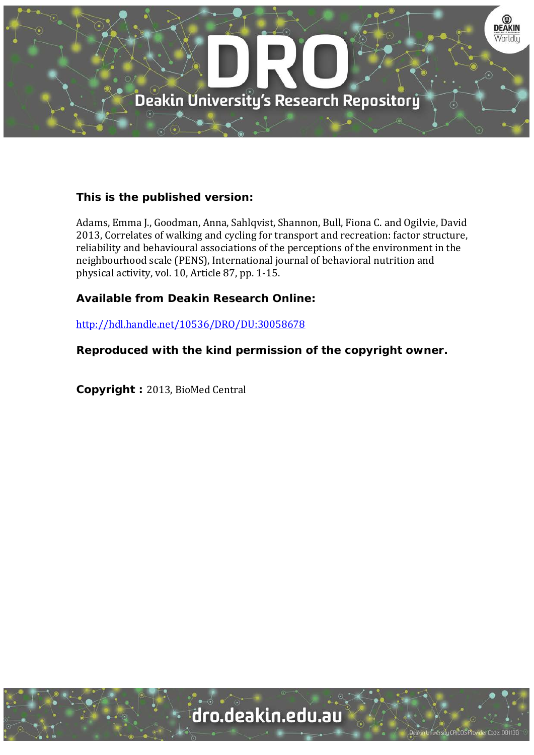

# **This is the published version:**

Adams, Emma J., Goodman, Anna, Sahlqvist, Shannon, Bull, Fiona C. and Ogilvie, David 2013, Correlates of walking and cycling for transport and recreation: factor structure, reliability and behavioural associations of the perceptions of the environment in the neighbourhood scale (PENS), International journal of behavioral nutrition and physical activity, vol. 10, Article 87, pp. 1-15.

# **Available from Deakin Research Online:**

[http://hdl.handle.net/10536/DRO/DU:3](http://hdl.handle.net/10536/DRO/DU:30065355)0058678

**Reproduced with the kind permission of the copyright owner.**

**Copyright :** 2013, BioMed Central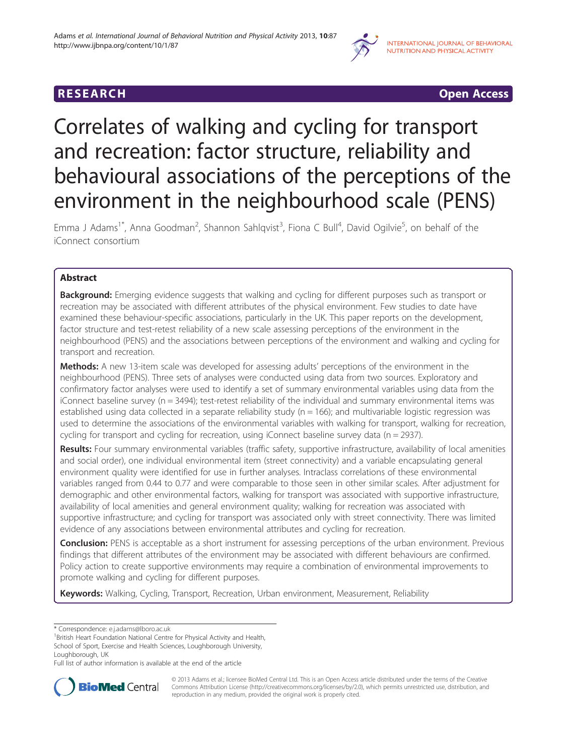

# **RESEARCH CHINESEARCH CHINESEARCH**

# Correlates of walking and cycling for transport and recreation: factor structure, reliability and behavioural associations of the perceptions of the environment in the neighbourhood scale (PENS)

Emma J Adams<sup>1\*</sup>, Anna Goodman<sup>2</sup>, Shannon Sahlqvist<sup>3</sup>, Fiona C Bull<sup>4</sup>, David Ogilvie<sup>5</sup>, on behalf of the iConnect consortium

# Abstract

Background: Emerging evidence suggests that walking and cycling for different purposes such as transport or recreation may be associated with different attributes of the physical environment. Few studies to date have examined these behaviour-specific associations, particularly in the UK. This paper reports on the development, factor structure and test-retest reliability of a new scale assessing perceptions of the environment in the neighbourhood (PENS) and the associations between perceptions of the environment and walking and cycling for transport and recreation.

Methods: A new 13-item scale was developed for assessing adults' perceptions of the environment in the neighbourhood (PENS). Three sets of analyses were conducted using data from two sources. Exploratory and confirmatory factor analyses were used to identify a set of summary environmental variables using data from the iConnect baseline survey ( $n = 3494$ ); test-retest reliability of the individual and summary environmental items was established using data collected in a separate reliability study ( $n = 166$ ); and multivariable logistic regression was used to determine the associations of the environmental variables with walking for transport, walking for recreation, cycling for transport and cycling for recreation, using iConnect baseline survey data (n = 2937).

Results: Four summary environmental variables (traffic safety, supportive infrastructure, availability of local amenities and social order), one individual environmental item (street connectivity) and a variable encapsulating general environment quality were identified for use in further analyses. Intraclass correlations of these environmental variables ranged from 0.44 to 0.77 and were comparable to those seen in other similar scales. After adjustment for demographic and other environmental factors, walking for transport was associated with supportive infrastructure, availability of local amenities and general environment quality; walking for recreation was associated with supportive infrastructure; and cycling for transport was associated only with street connectivity. There was limited evidence of any associations between environmental attributes and cycling for recreation.

**Conclusion:** PENS is acceptable as a short instrument for assessing perceptions of the urban environment. Previous findings that different attributes of the environment may be associated with different behaviours are confirmed. Policy action to create supportive environments may require a combination of environmental improvements to promote walking and cycling for different purposes.

Keywords: Walking, Cycling, Transport, Recreation, Urban environment, Measurement, Reliability

Full list of author information is available at the end of the article



© 2013 Adams et al.; licensee BioMed Central Ltd. This is an Open Access article distributed under the terms of the Creative Commons Attribution License [\(http://creativecommons.org/licenses/by/2.0\)](http://creativecommons.org/licenses/by/2.0), which permits unrestricted use, distribution, and reproduction in any medium, provided the original work is properly cited.

<sup>\*</sup> Correspondence: [e.j.adams@lboro.ac.uk](mailto:e.j.adams@lboro.ac.uk) <sup>1</sup>

<sup>&</sup>lt;sup>1</sup> British Heart Foundation National Centre for Physical Activity and Health, School of Sport, Exercise and Health Sciences, Loughborough University, Loughborough, UK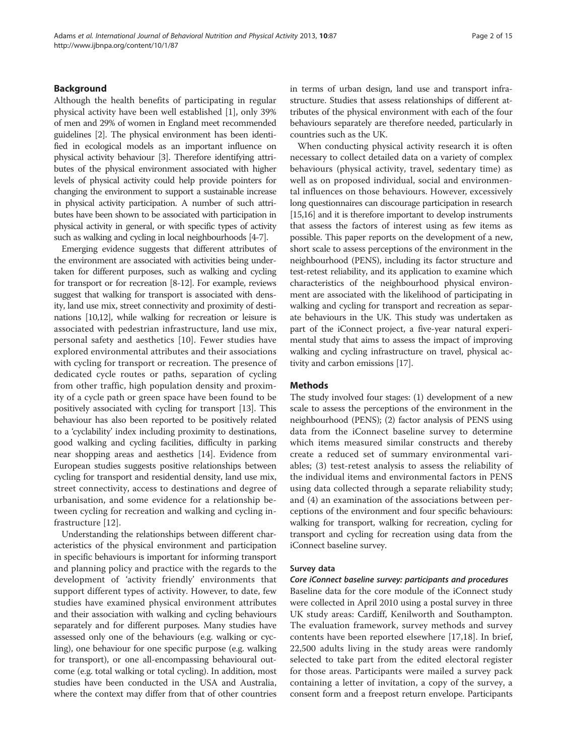# Background

Although the health benefits of participating in regular physical activity have been well established [[1\]](#page-14-0), only 39% of men and 29% of women in England meet recommended guidelines [[2](#page-14-0)]. The physical environment has been identified in ecological models as an important influence on physical activity behaviour [\[3](#page-14-0)]. Therefore identifying attributes of the physical environment associated with higher levels of physical activity could help provide pointers for changing the environment to support a sustainable increase in physical activity participation. A number of such attributes have been shown to be associated with participation in physical activity in general, or with specific types of activity such as walking and cycling in local neighbourhoods [\[4-7\]](#page-14-0).

Emerging evidence suggests that different attributes of the environment are associated with activities being undertaken for different purposes, such as walking and cycling for transport or for recreation [\[8](#page-14-0)-[12\]](#page-14-0). For example, reviews suggest that walking for transport is associated with density, land use mix, street connectivity and proximity of destinations [[10,12](#page-14-0)], while walking for recreation or leisure is associated with pedestrian infrastructure, land use mix, personal safety and aesthetics [\[10](#page-14-0)]. Fewer studies have explored environmental attributes and their associations with cycling for transport or recreation. The presence of dedicated cycle routes or paths, separation of cycling from other traffic, high population density and proximity of a cycle path or green space have been found to be positively associated with cycling for transport [\[13\]](#page-14-0). This behaviour has also been reported to be positively related to a 'cyclability' index including proximity to destinations, good walking and cycling facilities, difficulty in parking near shopping areas and aesthetics [\[14\]](#page-14-0). Evidence from European studies suggests positive relationships between cycling for transport and residential density, land use mix, street connectivity, access to destinations and degree of urbanisation, and some evidence for a relationship between cycling for recreation and walking and cycling infrastructure [[12\]](#page-14-0).

Understanding the relationships between different characteristics of the physical environment and participation in specific behaviours is important for informing transport and planning policy and practice with the regards to the development of 'activity friendly' environments that support different types of activity. However, to date, few studies have examined physical environment attributes and their association with walking and cycling behaviours separately and for different purposes. Many studies have assessed only one of the behaviours (e.g. walking or cycling), one behaviour for one specific purpose (e.g. walking for transport), or one all-encompassing behavioural outcome (e.g. total walking or total cycling). In addition, most studies have been conducted in the USA and Australia, where the context may differ from that of other countries in terms of urban design, land use and transport infrastructure. Studies that assess relationships of different attributes of the physical environment with each of the four behaviours separately are therefore needed, particularly in countries such as the UK.

When conducting physical activity research it is often necessary to collect detailed data on a variety of complex behaviours (physical activity, travel, sedentary time) as well as on proposed individual, social and environmental influences on those behaviours. However, excessively long questionnaires can discourage participation in research [[15,16](#page-14-0)] and it is therefore important to develop instruments that assess the factors of interest using as few items as possible. This paper reports on the development of a new, short scale to assess perceptions of the environment in the neighbourhood (PENS), including its factor structure and test-retest reliability, and its application to examine which characteristics of the neighbourhood physical environment are associated with the likelihood of participating in walking and cycling for transport and recreation as separate behaviours in the UK. This study was undertaken as part of the iConnect project, a five-year natural experimental study that aims to assess the impact of improving walking and cycling infrastructure on travel, physical activity and carbon emissions [\[17\]](#page-14-0).

#### **Methods**

The study involved four stages: (1) development of a new scale to assess the perceptions of the environment in the neighbourhood (PENS); (2) factor analysis of PENS using data from the iConnect baseline survey to determine which items measured similar constructs and thereby create a reduced set of summary environmental variables; (3) test-retest analysis to assess the reliability of the individual items and environmental factors in PENS using data collected through a separate reliability study; and (4) an examination of the associations between perceptions of the environment and four specific behaviours: walking for transport, walking for recreation, cycling for transport and cycling for recreation using data from the iConnect baseline survey.

#### Survey data

#### Core iConnect baseline survey: participants and procedures

Baseline data for the core module of the iConnect study were collected in April 2010 using a postal survey in three UK study areas: Cardiff, Kenilworth and Southampton. The evaluation framework, survey methods and survey contents have been reported elsewhere [\[17](#page-14-0),[18\]](#page-14-0). In brief, 22,500 adults living in the study areas were randomly selected to take part from the edited electoral register for those areas. Participants were mailed a survey pack containing a letter of invitation, a copy of the survey, a consent form and a freepost return envelope. Participants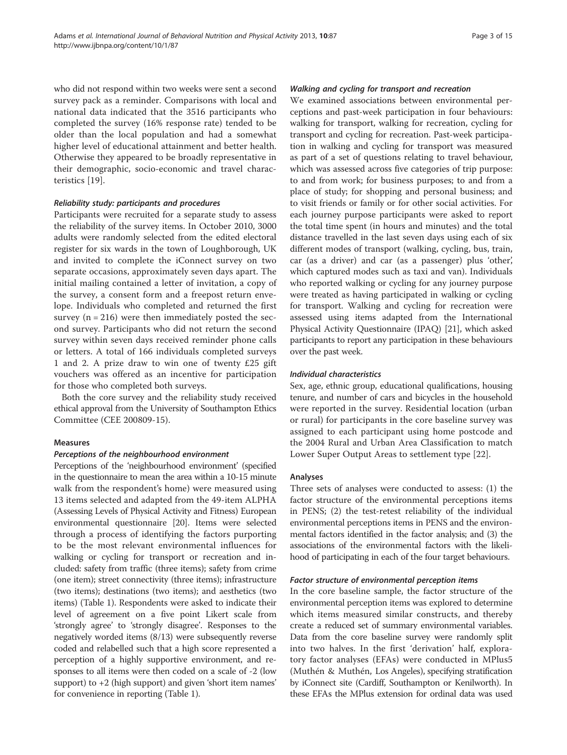who did not respond within two weeks were sent a second survey pack as a reminder. Comparisons with local and national data indicated that the 3516 participants who completed the survey (16% response rate) tended to be older than the local population and had a somewhat higher level of educational attainment and better health. Otherwise they appeared to be broadly representative in their demographic, socio-economic and travel characteristics [[19\]](#page-14-0).

# Reliability study: participants and procedures

Participants were recruited for a separate study to assess the reliability of the survey items. In October 2010, 3000 adults were randomly selected from the edited electoral register for six wards in the town of Loughborough, UK and invited to complete the iConnect survey on two separate occasions, approximately seven days apart. The initial mailing contained a letter of invitation, a copy of the survey, a consent form and a freepost return envelope. Individuals who completed and returned the first survey  $(n = 216)$  were then immediately posted the second survey. Participants who did not return the second survey within seven days received reminder phone calls or letters. A total of 166 individuals completed surveys 1 and 2. A prize draw to win one of twenty £25 gift vouchers was offered as an incentive for participation for those who completed both surveys.

Both the core survey and the reliability study received ethical approval from the University of Southampton Ethics Committee (CEE 200809-15).

# Measures

#### Perceptions of the neighbourhood environment

Perceptions of the 'neighbourhood environment' (specified in the questionnaire to mean the area within a 10-15 minute walk from the respondent's home) were measured using 13 items selected and adapted from the 49-item ALPHA (Assessing Levels of Physical Activity and Fitness) European environmental questionnaire [\[20\]](#page-14-0). Items were selected through a process of identifying the factors purporting to be the most relevant environmental influences for walking or cycling for transport or recreation and included: safety from traffic (three items); safety from crime (one item); street connectivity (three items); infrastructure (two items); destinations (two items); and aesthetics (two items) (Table [1](#page-4-0)). Respondents were asked to indicate their level of agreement on a five point Likert scale from 'strongly agree' to 'strongly disagree'. Responses to the negatively worded items (8/13) were subsequently reverse coded and relabelled such that a high score represented a perception of a highly supportive environment, and responses to all items were then coded on a scale of -2 (low support) to +2 (high support) and given 'short item names' for convenience in reporting (Table [1](#page-4-0)).

# Walking and cycling for transport and recreation

We examined associations between environmental perceptions and past-week participation in four behaviours: walking for transport, walking for recreation, cycling for transport and cycling for recreation. Past-week participation in walking and cycling for transport was measured as part of a set of questions relating to travel behaviour, which was assessed across five categories of trip purpose: to and from work; for business purposes; to and from a place of study; for shopping and personal business; and to visit friends or family or for other social activities. For each journey purpose participants were asked to report the total time spent (in hours and minutes) and the total distance travelled in the last seven days using each of six different modes of transport (walking, cycling, bus, train, car (as a driver) and car (as a passenger) plus 'other', which captured modes such as taxi and van). Individuals who reported walking or cycling for any journey purpose were treated as having participated in walking or cycling for transport. Walking and cycling for recreation were assessed using items adapted from the International Physical Activity Questionnaire (IPAQ) [\[21\]](#page-14-0), which asked participants to report any participation in these behaviours over the past week.

# Individual characteristics

Sex, age, ethnic group, educational qualifications, housing tenure, and number of cars and bicycles in the household were reported in the survey. Residential location (urban or rural) for participants in the core baseline survey was assigned to each participant using home postcode and the 2004 Rural and Urban Area Classification to match Lower Super Output Areas to settlement type [\[22](#page-15-0)].

#### Analyses

Three sets of analyses were conducted to assess: (1) the factor structure of the environmental perceptions items in PENS; (2) the test-retest reliability of the individual environmental perceptions items in PENS and the environmental factors identified in the factor analysis; and (3) the associations of the environmental factors with the likelihood of participating in each of the four target behaviours.

#### Factor structure of environmental perception items

In the core baseline sample, the factor structure of the environmental perception items was explored to determine which items measured similar constructs, and thereby create a reduced set of summary environmental variables. Data from the core baseline survey were randomly split into two halves. In the first 'derivation' half, exploratory factor analyses (EFAs) were conducted in MPlus5 (Muthén & Muthén, Los Angeles), specifying stratification by iConnect site (Cardiff, Southampton or Kenilworth). In these EFAs the MPlus extension for ordinal data was used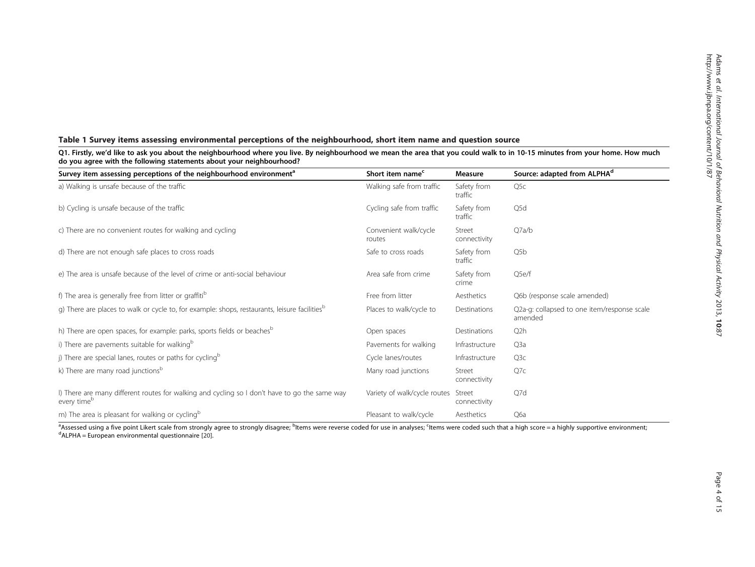# <span id="page-4-0"></span>Table <sup>1</sup> Survey items assessing environmental perceptions of the neighbourhood, short item name and question source

| v. we'd like to ask vou about the neighbourhood where vou live. By neighbourhood we mean the area that vou could walk to in 10-15 minutes from vour home.<br>Q1. Firstly, | How much |
|---------------------------------------------------------------------------------------------------------------------------------------------------------------------------|----------|
| do you agree with the following statements about your neighbourhood?                                                                                                      |          |

| Survey item assessing perceptions of the neighbourhood environment <sup>a</sup>                                          | Short item name <sup>c</sup>    | <b>Measure</b>         | Source: adapted from ALPHA <sup>d</sup>                |
|--------------------------------------------------------------------------------------------------------------------------|---------------------------------|------------------------|--------------------------------------------------------|
| a) Walking is unsafe because of the traffic                                                                              | Walking safe from traffic       | Safety from<br>traffic | Q <sub>5</sub> c                                       |
| b) Cycling is unsafe because of the traffic                                                                              | Cycling safe from traffic       | Safety from<br>traffic | Q5d                                                    |
| c) There are no convenient routes for walking and cycling                                                                | Convenient walk/cycle<br>routes | Street<br>connectivity | Q7a/b                                                  |
| d) There are not enough safe places to cross roads                                                                       | Safe to cross roads             | Safety from<br>traffic | Q5b                                                    |
| e) The area is unsafe because of the level of crime or anti-social behaviour                                             | Area safe from crime            | Safety from<br>crime   | Q5e/f                                                  |
| f) The area is generally free from litter or graffitib                                                                   | Free from litter                | Aesthetics             | Q6b (response scale amended)                           |
| g) There are places to walk or cycle to, for example: shops, restaurants, leisure facilities <sup>b</sup>                | Places to walk/cycle to         | Destinations           | Q2a-g: collapsed to one item/response scale<br>amended |
| h) There are open spaces, for example: parks, sports fields or beaches <sup>b</sup>                                      | Open spaces                     | Destinations           | Q2h                                                    |
| i) There are pavements suitable for walking <sup>b</sup>                                                                 | Pavements for walking           | Infrastructure         | $Q$ 3a                                                 |
| j) There are special lanes, routes or paths for cycling <sup>b</sup>                                                     | Cycle lanes/routes              | Infrastructure         | Q3c                                                    |
| k) There are many road junctions <sup>b</sup>                                                                            | Many road junctions             | Street<br>connectivity | Q7c                                                    |
| I) There are many different routes for walking and cycling so I don't have to go the same way<br>every time <sup>p</sup> | Variety of walk/cycle routes    | Street<br>connectivity | Q7d                                                    |
| m) The area is pleasant for walking or cycling <sup>p</sup>                                                              | Pleasant to walk/cycle          | Aesthetics             | Q6a                                                    |

<sup>a</sup>Assessed using a five point Likert scale from strongly agree to strongly disagree; <sup>b</sup>Items were reverse coded for use in analyses; <sup>c</sup>Items were coded such that a high score = a highly supportive environment;  $d$ ALPHA = European environmental questionnaire [[20](#page-14-0)].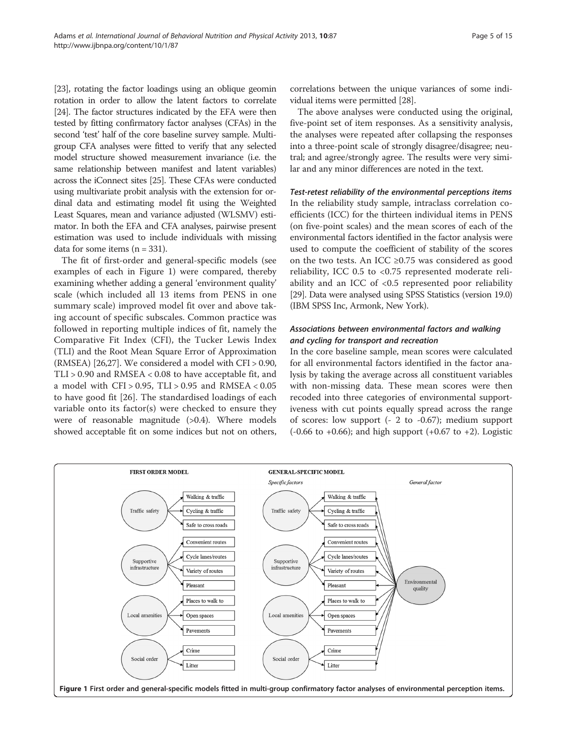<span id="page-5-0"></span>[[23](#page-15-0)], rotating the factor loadings using an oblique geomin rotation in order to allow the latent factors to correlate [[24](#page-15-0)]. The factor structures indicated by the EFA were then tested by fitting confirmatory factor analyses (CFAs) in the second 'test' half of the core baseline survey sample. Multigroup CFA analyses were fitted to verify that any selected model structure showed measurement invariance (i.e. the same relationship between manifest and latent variables) across the iConnect sites [\[25\]](#page-15-0). These CFAs were conducted using multivariate probit analysis with the extension for ordinal data and estimating model fit using the Weighted Least Squares, mean and variance adjusted (WLSMV) estimator. In both the EFA and CFA analyses, pairwise present estimation was used to include individuals with missing data for some items  $(n = 331)$ .

The fit of first-order and general-specific models (see examples of each in Figure 1) were compared, thereby examining whether adding a general 'environment quality' scale (which included all 13 items from PENS in one summary scale) improved model fit over and above taking account of specific subscales. Common practice was followed in reporting multiple indices of fit, namely the Comparative Fit Index (CFI), the Tucker Lewis Index (TLI) and the Root Mean Square Error of Approximation (RMSEA) [\[26,27](#page-15-0)]. We considered a model with CFI > 0.90, TLI > 0.90 and RMSEA < 0.08 to have acceptable fit, and a model with CFI > 0.95, TLI > 0.95 and RMSEA < 0.05 to have good fit [\[26](#page-15-0)]. The standardised loadings of each variable onto its factor(s) were checked to ensure they were of reasonable magnitude (>0.4). Where models showed acceptable fit on some indices but not on others,

correlations between the unique variances of some individual items were permitted [\[28\]](#page-15-0).

The above analyses were conducted using the original, five-point set of item responses. As a sensitivity analysis, the analyses were repeated after collapsing the responses into a three-point scale of strongly disagree/disagree; neutral; and agree/strongly agree. The results were very similar and any minor differences are noted in the text.

# Test-retest reliability of the environmental perceptions items

In the reliability study sample, intraclass correlation coefficients (ICC) for the thirteen individual items in PENS (on five-point scales) and the mean scores of each of the environmental factors identified in the factor analysis were used to compute the coefficient of stability of the scores on the two tests. An ICC  $\geq 0.75$  was considered as good reliability, ICC 0.5 to <0.75 represented moderate reliability and an ICC of <0.5 represented poor reliability [[29](#page-15-0)]. Data were analysed using SPSS Statistics (version 19.0) (IBM SPSS Inc, Armonk, New York).

# Associations between environmental factors and walking and cycling for transport and recreation

In the core baseline sample, mean scores were calculated for all environmental factors identified in the factor analysis by taking the average across all constituent variables with non-missing data. These mean scores were then recoded into three categories of environmental supportiveness with cut points equally spread across the range of scores: low support (- 2 to -0.67); medium support  $(-0.66 \text{ to } +0.66)$ ; and high support  $(+0.67 \text{ to } +2)$ . Logistic

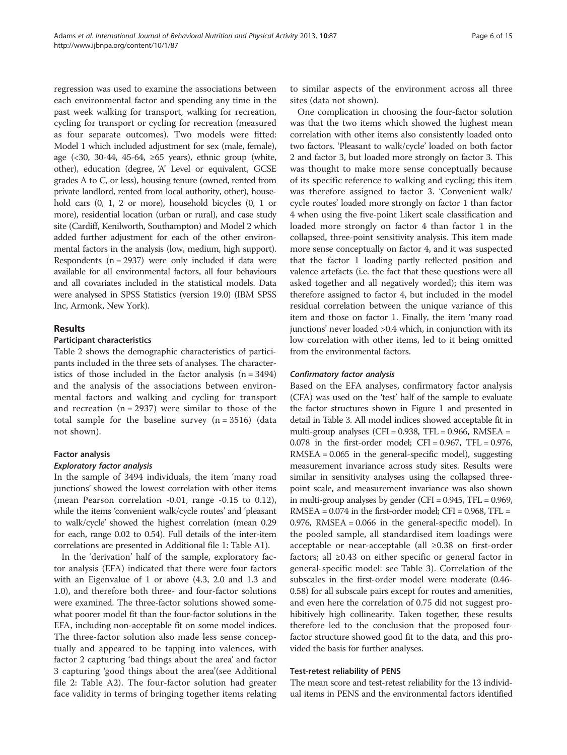regression was used to examine the associations between each environmental factor and spending any time in the past week walking for transport, walking for recreation, cycling for transport or cycling for recreation (measured as four separate outcomes). Two models were fitted: Model 1 which included adjustment for sex (male, female), age  $\left( \langle 30, 30-44, 45-64, \rangle \langle 55 \rangle \right)$  ethnic group (white, other), education (degree, 'A' Level or equivalent, GCSE grades A to C, or less), housing tenure (owned, rented from private landlord, rented from local authority, other), household cars (0, 1, 2 or more), household bicycles (0, 1 or more), residential location (urban or rural), and case study site (Cardiff, Kenilworth, Southampton) and Model 2 which added further adjustment for each of the other environmental factors in the analysis (low, medium, high support). Respondents  $(n = 2937)$  were only included if data were available for all environmental factors, all four behaviours and all covariates included in the statistical models. Data were analysed in SPSS Statistics (version 19.0) (IBM SPSS Inc, Armonk, New York).

#### Results

#### Participant characteristics

Table [2](#page-7-0) shows the demographic characteristics of participants included in the three sets of analyses. The characteristics of those included in the factor analysis  $(n = 3494)$ and the analysis of the associations between environmental factors and walking and cycling for transport and recreation  $(n = 2937)$  were similar to those of the total sample for the baseline survey  $(n = 3516)$  (data not shown).

#### Factor analysis

#### Exploratory factor analysis

In the sample of 3494 individuals, the item 'many road junctions' showed the lowest correlation with other items (mean Pearson correlation -0.01, range -0.15 to 0.12), while the items 'convenient walk/cycle routes' and 'pleasant to walk/cycle' showed the highest correlation (mean 0.29 for each, range 0.02 to 0.54). Full details of the inter-item correlations are presented in Additional file [1:](#page-14-0) Table A1).

In the 'derivation' half of the sample, exploratory factor analysis (EFA) indicated that there were four factors with an Eigenvalue of 1 or above (4.3, 2.0 and 1.3 and 1.0), and therefore both three- and four-factor solutions were examined. The three-factor solutions showed somewhat poorer model fit than the four-factor solutions in the EFA, including non-acceptable fit on some model indices. The three-factor solution also made less sense conceptually and appeared to be tapping into valences, with factor 2 capturing 'bad things about the area' and factor 3 capturing 'good things about the area'(see Additional file [2:](#page-14-0) Table A2). The four-factor solution had greater face validity in terms of bringing together items relating

to similar aspects of the environment across all three sites (data not shown).

One complication in choosing the four-factor solution was that the two items which showed the highest mean correlation with other items also consistently loaded onto two factors. 'Pleasant to walk/cycle' loaded on both factor 2 and factor 3, but loaded more strongly on factor 3. This was thought to make more sense conceptually because of its specific reference to walking and cycling; this item was therefore assigned to factor 3. 'Convenient walk/ cycle routes' loaded more strongly on factor 1 than factor 4 when using the five-point Likert scale classification and loaded more strongly on factor 4 than factor 1 in the collapsed, three-point sensitivity analysis. This item made more sense conceptually on factor 4, and it was suspected that the factor 1 loading partly reflected position and valence artefacts (i.e. the fact that these questions were all asked together and all negatively worded); this item was therefore assigned to factor 4, but included in the model residual correlation between the unique variance of this item and those on factor 1. Finally, the item 'many road junctions' never loaded >0.4 which, in conjunction with its low correlation with other items, led to it being omitted from the environmental factors.

#### Confirmatory factor analysis

Based on the EFA analyses, confirmatory factor analysis (CFA) was used on the 'test' half of the sample to evaluate the factor structures shown in Figure [1](#page-5-0) and presented in detail in Table [3.](#page-8-0) All model indices showed acceptable fit in multi-group analyses (CFI =  $0.938$ , TFL =  $0.966$ , RMSEA = 0.078 in the first-order model; CFI = 0.967, TFL = 0.976, RMSEA = 0.065 in the general-specific model), suggesting measurement invariance across study sites. Results were similar in sensitivity analyses using the collapsed threepoint scale, and measurement invariance was also shown in multi-group analyses by gender (CFI =  $0.945$ , TFL =  $0.969$ ,  $RMSEA = 0.074$  in the first-order model;  $CFI = 0.968$ ,  $TFL =$ 0.976, RMSEA = 0.066 in the general-specific model). In the pooled sample, all standardised item loadings were acceptable or near-acceptable (all ≥0.38 on first-order factors; all ≥0.43 on either specific or general factor in general-specific model: see Table [3\)](#page-8-0). Correlation of the subscales in the first-order model were moderate (0.46- 0.58) for all subscale pairs except for routes and amenities, and even here the correlation of 0.75 did not suggest prohibitively high collinearity. Taken together, these results therefore led to the conclusion that the proposed fourfactor structure showed good fit to the data, and this provided the basis for further analyses.

#### Test-retest reliability of PENS

The mean score and test-retest reliability for the 13 individual items in PENS and the environmental factors identified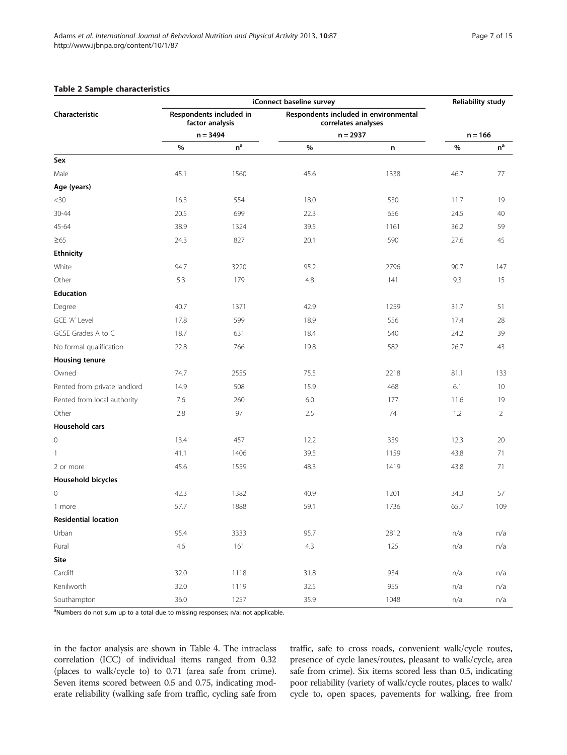# <span id="page-7-0"></span>Table 2 Sample characteristics

|                              |      |                                            | <b>Reliability study</b> |                                                              |      |                |
|------------------------------|------|--------------------------------------------|--------------------------|--------------------------------------------------------------|------|----------------|
| Characteristic               |      | Respondents included in<br>factor analysis |                          | Respondents included in environmental<br>correlates analyses |      |                |
|                              |      | $n = 3494$                                 |                          | $n = 2937$                                                   |      | $n = 166$      |
|                              | $\%$ | $\mathsf{n}^\mathsf{a}$                    | $\%$                     | n                                                            | %    | $n^a$          |
| Sex                          |      |                                            |                          |                                                              |      |                |
| Male                         | 45.1 | 1560                                       | 45.6                     | 1338                                                         | 46.7 | 77             |
| Age (years)                  |      |                                            |                          |                                                              |      |                |
| $<$ 30                       | 16.3 | 554                                        | 18.0                     | 530                                                          | 11.7 | 19             |
| 30-44                        | 20.5 | 699                                        | 22.3                     | 656                                                          | 24.5 | 40             |
| 45-64                        | 38.9 | 1324                                       | 39.5                     | 1161                                                         | 36.2 | 59             |
| $\geq 65$                    | 24.3 | 827                                        | 20.1                     | 590                                                          | 27.6 | 45             |
| <b>Ethnicity</b>             |      |                                            |                          |                                                              |      |                |
| White                        | 94.7 | 3220                                       | 95.2                     | 2796                                                         | 90.7 | 147            |
| Other                        | 5.3  | 179                                        | 4.8                      | 141                                                          | 9.3  | 15             |
| <b>Education</b>             |      |                                            |                          |                                                              |      |                |
| Degree                       | 40.7 | 1371                                       | 42.9                     | 1259                                                         | 31.7 | 51             |
| GCE 'A' Level                | 17.8 | 599                                        | 18.9                     | 556                                                          | 17.4 | 28             |
| GCSE Grades A to C           | 18.7 | 631                                        | 18.4                     | 540                                                          | 24.2 | 39             |
| No formal qualification      | 22.8 | 766                                        | 19.8                     | 582                                                          | 26.7 | 43             |
| <b>Housing tenure</b>        |      |                                            |                          |                                                              |      |                |
| Owned                        | 74.7 | 2555                                       | 75.5                     | 2218                                                         | 81.1 | 133            |
| Rented from private landlord | 14.9 | 508                                        | 15.9                     | 468                                                          | 6.1  | 10             |
| Rented from local authority  | 7.6  | 260                                        | 6.0                      | 177                                                          | 11.6 | 19             |
| Other                        | 2.8  | 97                                         | 2.5                      | 74                                                           | 1.2  | $\overline{2}$ |
| Household cars               |      |                                            |                          |                                                              |      |                |
| $\mathsf{O}\xspace$          | 13.4 | 457                                        | 12.2                     | 359                                                          | 12.3 | 20             |
| 1                            | 41.1 | 1406                                       | 39.5                     | 1159                                                         | 43.8 | 71             |
| 2 or more                    | 45.6 | 1559                                       | 48.3                     | 1419                                                         | 43.8 | 71             |
| Household bicycles           |      |                                            |                          |                                                              |      |                |
| $\mathbf 0$                  | 42.3 | 1382                                       | 40.9                     | 1201                                                         | 34.3 | 57             |
| 1 more                       | 57.7 | 1888                                       | 59.1                     | 1736                                                         | 65.7 | 109            |
| <b>Residential location</b>  |      |                                            |                          |                                                              |      |                |
| Urban                        | 95.4 | 3333                                       | 95.7                     | 2812                                                         | n/a  | n/a            |
| Rural                        | 4.6  | 161                                        | $4.3\,$                  | 125                                                          | n/a  | n/a            |
| Site                         |      |                                            |                          |                                                              |      |                |
| Cardiff                      | 32.0 | 1118                                       | 31.8                     | 934                                                          | n/a  | n/a            |
| Kenilworth                   | 32.0 | 1119                                       | 32.5                     | 955                                                          | n/a  | n/a            |
| Southampton                  | 36.0 | 1257                                       | 35.9                     | 1048                                                         | n/a  | n/a            |

<sup>a</sup>Numbers do not sum up to a total due to missing responses; n/a: not applicable.

in the factor analysis are shown in Table [4](#page-9-0). The intraclass correlation (ICC) of individual items ranged from 0.32 (places to walk/cycle to) to 0.71 (area safe from crime). Seven items scored between 0.5 and 0.75, indicating moderate reliability (walking safe from traffic, cycling safe from traffic, safe to cross roads, convenient walk/cycle routes, presence of cycle lanes/routes, pleasant to walk/cycle, area safe from crime). Six items scored less than 0.5, indicating poor reliability (variety of walk/cycle routes, places to walk/ cycle to, open spaces, pavements for walking, free from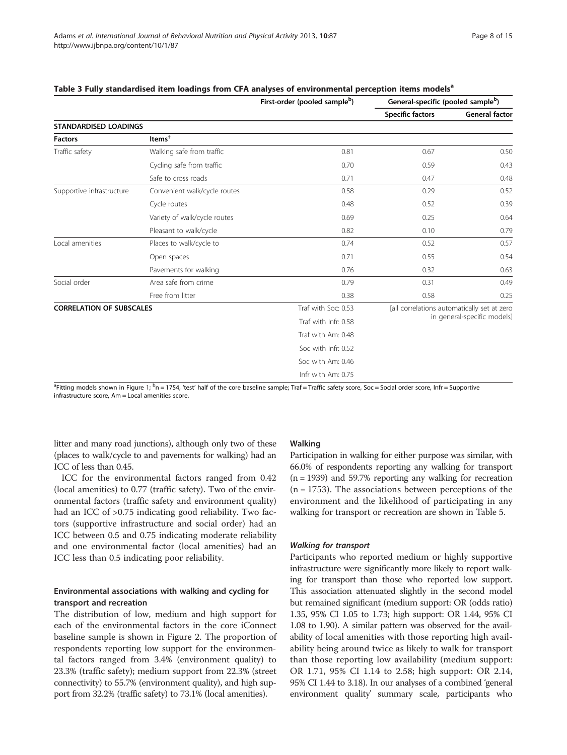|                                 |                              | First-order (pooled sampleb) | General-specific (pooled sampleb)           |                             |
|---------------------------------|------------------------------|------------------------------|---------------------------------------------|-----------------------------|
|                                 |                              |                              | <b>Specific factors</b>                     | <b>General factor</b>       |
| <b>STANDARDISED LOADINGS</b>    |                              |                              |                                             |                             |
| <b>Factors</b>                  | Items $^{\dagger}$           |                              |                                             |                             |
| Traffic safety                  | Walking safe from traffic    | 0.81                         | 0.67                                        | 0.50                        |
|                                 | Cycling safe from traffic    | 0.70                         | 0.59                                        | 0.43                        |
|                                 | Safe to cross roads          | 0.71                         | 0.47                                        | 0.48                        |
| Supportive infrastructure       | Convenient walk/cycle routes | 0.58                         | 0.29                                        | 0.52                        |
|                                 | Cycle routes                 | 0.48                         | 0.52                                        | 0.39                        |
|                                 | Variety of walk/cycle routes | 0.69                         | 0.25                                        | 0.64                        |
|                                 | Pleasant to walk/cycle       | 0.82                         | 0.10                                        | 0.79                        |
| Local amenities                 | Places to walk/cycle to      | 0.74                         | 0.52                                        | 0.57                        |
|                                 | Open spaces                  | 0.71                         | 0.55                                        | 0.54                        |
|                                 | Pavements for walking        | 0.76                         | 0.32                                        | 0.63                        |
| Social order                    | Area safe from crime         | 0.79                         | 0.31                                        | 0.49                        |
|                                 | Free from litter             | 0.38                         | 0.58                                        | 0.25                        |
| <b>CORRELATION OF SUBSCALES</b> |                              | Traf with Soc: 0.53          | [all correlations automatically set at zero |                             |
|                                 |                              | Traf with Infr: 0.58         |                                             | in general-specific models] |
|                                 |                              | Traf with Am: 0.48           |                                             |                             |
|                                 |                              | Soc with Infr: 0.52          |                                             |                             |
|                                 |                              | Soc with Am: 0.46            |                                             |                             |
|                                 |                              | Infr with Am: 0.75           |                                             |                             |

#### <span id="page-8-0"></span>Table 3 Fully standardised item loadings from CFA analyses of environmental perception items models<sup>a</sup>

<sup>a</sup>Fitting models shown in Figure [1;](#page-5-0) <sup>b</sup>n = 1754, 'test' half of the core baseline sample; Traf = Traffic safety score, Soc = Social order score, Infr = Supportive infrastructure score, Am = Local amenities score.

litter and many road junctions), although only two of these (places to walk/cycle to and pavements for walking) had an ICC of less than 0.45.

ICC for the environmental factors ranged from 0.42 (local amenities) to 0.77 (traffic safety). Two of the environmental factors (traffic safety and environment quality) had an ICC of >0.75 indicating good reliability. Two factors (supportive infrastructure and social order) had an ICC between 0.5 and 0.75 indicating moderate reliability and one environmental factor (local amenities) had an ICC less than 0.5 indicating poor reliability.

# Environmental associations with walking and cycling for transport and recreation

The distribution of low, medium and high support for each of the environmental factors in the core iConnect baseline sample is shown in Figure [2.](#page-10-0) The proportion of respondents reporting low support for the environmental factors ranged from 3.4% (environment quality) to 23.3% (traffic safety); medium support from 22.3% (street connectivity) to 55.7% (environment quality), and high support from 32.2% (traffic safety) to 73.1% (local amenities).

#### Walking

Participation in walking for either purpose was similar, with 66.0% of respondents reporting any walking for transport  $(n = 1939)$  and 59.7% reporting any walking for recreation (n = 1753). The associations between perceptions of the environment and the likelihood of participating in any walking for transport or recreation are shown in Table [5](#page-11-0).

#### Walking for transport

Participants who reported medium or highly supportive infrastructure were significantly more likely to report walking for transport than those who reported low support. This association attenuated slightly in the second model but remained significant (medium support: OR (odds ratio) 1.35, 95% CI 1.05 to 1.73; high support: OR 1.44, 95% CI 1.08 to 1.90). A similar pattern was observed for the availability of local amenities with those reporting high availability being around twice as likely to walk for transport than those reporting low availability (medium support: OR 1.71, 95% CI 1.14 to 2.58; high support: OR 2.14, 95% CI 1.44 to 3.18). In our analyses of a combined 'general environment quality' summary scale, participants who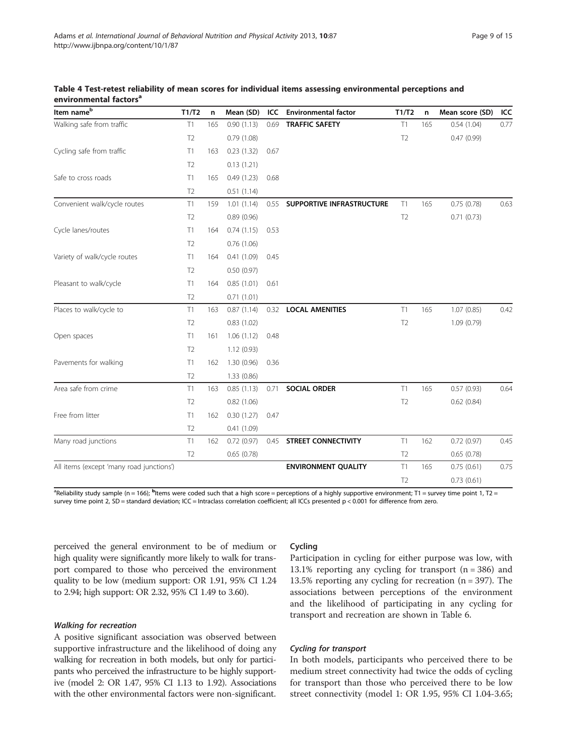# <span id="page-9-0"></span>Table 4 Test-retest reliability of mean scores for individual items assessing environmental perceptions and environmental factors<sup>a</sup>

| Item name <sup>b</sup>                   | T1/T2          | n   | Mean (SD)  | ICC  | <b>Environmental factor</b>    | T1/T2          | n   | Mean score (SD) | ICC  |
|------------------------------------------|----------------|-----|------------|------|--------------------------------|----------------|-----|-----------------|------|
| Walking safe from traffic                | T1             | 165 | 0.90(1.13) | 0.69 | <b>TRAFFIC SAFETY</b>          | T1             | 165 | 0.54(1.04)      | 0.77 |
|                                          | T <sub>2</sub> |     | 0.79(1.08) |      |                                | T <sub>2</sub> |     | 0.47(0.99)      |      |
| Cycling safe from traffic                | T1             | 163 | 0.23(1.32) | 0.67 |                                |                |     |                 |      |
|                                          | T <sub>2</sub> |     | 0.13(1.21) |      |                                |                |     |                 |      |
| Safe to cross roads                      | T1             | 165 | 0.49(1.23) | 0.68 |                                |                |     |                 |      |
|                                          | T <sub>2</sub> |     | 0.51(1.14) |      |                                |                |     |                 |      |
| Convenient walk/cycle routes             | T1             | 159 | 1.01(1.14) |      | 0.55 SUPPORTIVE INFRASTRUCTURE | T1             | 165 | 0.75(0.78)      | 0.63 |
|                                          | T <sub>2</sub> |     | 0.89(0.96) |      |                                | T <sub>2</sub> |     | 0.71(0.73)      |      |
| Cycle lanes/routes                       | T1             | 164 | 0.74(1.15) | 0.53 |                                |                |     |                 |      |
|                                          | T <sub>2</sub> |     | 0.76(1.06) |      |                                |                |     |                 |      |
| Variety of walk/cycle routes             | T1             | 164 | 0.41(1.09) | 0.45 |                                |                |     |                 |      |
|                                          | T <sub>2</sub> |     | 0.50(0.97) |      |                                |                |     |                 |      |
| Pleasant to walk/cycle                   | T1             | 164 | 0.85(1.01) | 0.61 |                                |                |     |                 |      |
|                                          | T <sub>2</sub> |     | 0.71(1.01) |      |                                |                |     |                 |      |
| Places to walk/cycle to                  | T1             | 163 | 0.87(1.14) |      | 0.32 LOCAL AMENITIES           | T1             | 165 | 1.07(0.85)      | 0.42 |
|                                          | T <sub>2</sub> |     | 0.83(1.02) |      |                                | T <sub>2</sub> |     | 1.09(0.79)      |      |
| Open spaces                              | T1             | 161 | 1.06(1.12) | 0.48 |                                |                |     |                 |      |
|                                          | T <sub>2</sub> |     | 1.12(0.93) |      |                                |                |     |                 |      |
| Pavements for walking                    | T1             | 162 | 1.30(0.96) | 0.36 |                                |                |     |                 |      |
|                                          | T <sub>2</sub> |     | 1.33(0.86) |      |                                |                |     |                 |      |
| Area safe from crime                     | T1             | 163 | 0.85(1.13) | 0.71 | <b>SOCIAL ORDER</b>            | T1             | 165 | 0.57(0.93)      | 0.64 |
|                                          | T <sub>2</sub> |     | 0.82(1.06) |      |                                | T <sub>2</sub> |     | 0.62(0.84)      |      |
| Free from litter                         | T1             | 162 | 0.30(1.27) | 0.47 |                                |                |     |                 |      |
|                                          | T <sub>2</sub> |     | 0.41(1.09) |      |                                |                |     |                 |      |
| Many road junctions                      | T1             | 162 | 0.72(0.97) | 0.45 | <b>STREET CONNECTIVITY</b>     | T1             | 162 | 0.72(0.97)      | 0.45 |
|                                          | T <sub>2</sub> |     | 0.65(0.78) |      |                                | T <sub>2</sub> |     | 0.65(0.78)      |      |
| All items (except 'many road junctions') |                |     |            |      | <b>ENVIRONMENT QUALITY</b>     | T1             | 165 | 0.75(0.61)      | 0.75 |
|                                          |                |     |            |      |                                | T <sub>2</sub> |     | 0.73(0.61)      |      |

<sup>a</sup>Reliability study sample (n = 166); **b**ltems were coded such that a high score = perceptions of a highly supportive environment; T1 = survey time point 1, T2 = survey time point 2, SD = standard deviation; ICC = Intraclass correlation coefficient; all ICCs presented p < 0.001 for difference from zero.

perceived the general environment to be of medium or high quality were significantly more likely to walk for transport compared to those who perceived the environment quality to be low (medium support: OR 1.91, 95% CI 1.24 to 2.94; high support: OR 2.32, 95% CI 1.49 to 3.60).

#### Walking for recreation

A positive significant association was observed between supportive infrastructure and the likelihood of doing any walking for recreation in both models, but only for participants who perceived the infrastructure to be highly supportive (model 2: OR 1.47, 95% CI 1.13 to 1.92). Associations with the other environmental factors were non-significant.

#### Cycling

Participation in cycling for either purpose was low, with 13.1% reporting any cycling for transport  $(n = 386)$  and 13.5% reporting any cycling for recreation (n = 397). The associations between perceptions of the environment and the likelihood of participating in any cycling for transport and recreation are shown in Table [6](#page-12-0).

#### Cycling for transport

In both models, participants who perceived there to be medium street connectivity had twice the odds of cycling for transport than those who perceived there to be low street connectivity (model 1: OR 1.95, 95% CI 1.04-3.65;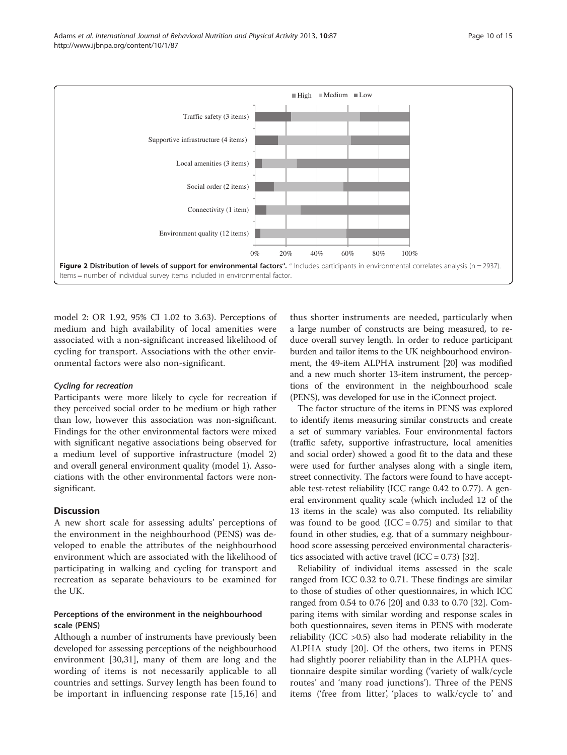<span id="page-10-0"></span>

model 2: OR 1.92, 95% CI 1.02 to 3.63). Perceptions of medium and high availability of local amenities were associated with a non-significant increased likelihood of cycling for transport. Associations with the other environmental factors were also non-significant.

#### Cycling for recreation

Participants were more likely to cycle for recreation if they perceived social order to be medium or high rather than low, however this association was non-significant. Findings for the other environmental factors were mixed with significant negative associations being observed for a medium level of supportive infrastructure (model 2) and overall general environment quality (model 1). Associations with the other environmental factors were nonsignificant.

# **Discussion**

A new short scale for assessing adults' perceptions of the environment in the neighbourhood (PENS) was developed to enable the attributes of the neighbourhood environment which are associated with the likelihood of participating in walking and cycling for transport and recreation as separate behaviours to be examined for the UK.

# Perceptions of the environment in the neighbourhood scale (PENS)

Although a number of instruments have previously been developed for assessing perceptions of the neighbourhood environment [[30,31](#page-15-0)], many of them are long and the wording of items is not necessarily applicable to all countries and settings. Survey length has been found to be important in influencing response rate [\[15](#page-14-0),[16\]](#page-14-0) and

thus shorter instruments are needed, particularly when a large number of constructs are being measured, to reduce overall survey length. In order to reduce participant burden and tailor items to the UK neighbourhood environment, the 49-item ALPHA instrument [[20](#page-14-0)] was modified and a new much shorter 13-item instrument, the perceptions of the environment in the neighbourhood scale (PENS), was developed for use in the iConnect project.

The factor structure of the items in PENS was explored to identify items measuring similar constructs and create a set of summary variables. Four environmental factors (traffic safety, supportive infrastructure, local amenities and social order) showed a good fit to the data and these were used for further analyses along with a single item, street connectivity. The factors were found to have acceptable test-retest reliability (ICC range 0.42 to 0.77). A general environment quality scale (which included 12 of the 13 items in the scale) was also computed. Its reliability was found to be good (ICC =  $0.75$ ) and similar to that found in other studies, e.g. that of a summary neighbourhood score assessing perceived environmental characteristics associated with active travel  $(ICC = 0.73)$  [[32](#page-15-0)].

Reliability of individual items assessed in the scale ranged from ICC 0.32 to 0.71. These findings are similar to those of studies of other questionnaires, in which ICC ranged from 0.54 to 0.76 [[20](#page-14-0)] and 0.33 to 0.70 [[32](#page-15-0)]. Comparing items with similar wording and response scales in both questionnaires, seven items in PENS with moderate reliability (ICC >0.5) also had moderate reliability in the ALPHA study [[20\]](#page-14-0). Of the others, two items in PENS had slightly poorer reliability than in the ALPHA questionnaire despite similar wording ('variety of walk/cycle routes' and 'many road junctions'). Three of the PENS items ('free from litter', 'places to walk/cycle to' and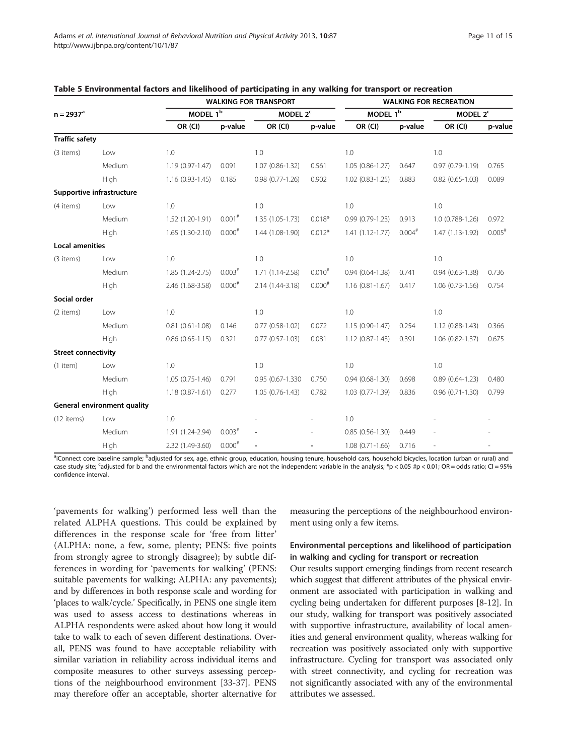|                            |                             |                        |                      | <b>WALKING FOR TRANSPORT</b> | <b>WALKING FOR RECREATION</b> |                      |                      |                        |                      |
|----------------------------|-----------------------------|------------------------|----------------------|------------------------------|-------------------------------|----------------------|----------------------|------------------------|----------------------|
| $n = 2937^a$               |                             | MODEL 1 <sup>b</sup>   |                      | MODEL 2 <sup>c</sup>         |                               | MODEL 1 <sup>b</sup> |                      | MODEL 2 <sup>c</sup>   |                      |
|                            |                             | OR (CI)                | p-value              | OR (CI)                      | p-value                       | OR (CI)              | p-value              | OR (CI)                | p-value              |
| <b>Traffic safety</b>      |                             |                        |                      |                              |                               |                      |                      |                        |                      |
| (3 items)                  | Low                         | 1.0                    |                      | 1.0                          |                               | 1.0                  |                      | 1.0                    |                      |
|                            | Medium                      | $1.19(0.97 - 1.47)$    | 0.091                | $1.07(0.86 - 1.32)$          | 0.561                         | $1.05(0.86 - 1.27)$  | 0.647                | $0.97(0.79-1.19)$      | 0.765                |
|                            | High                        | $1.16(0.93-1.45)$      | 0.185                | $0.98(0.77-1.26)$            | 0.902                         | $1.02(0.83 - 1.25)$  | 0.883                | $0.82$ $(0.65 - 1.03)$ | 0.089                |
|                            | Supportive infrastructure   |                        |                      |                              |                               |                      |                      |                        |                      |
| (4 items)                  | Low                         | 1.0                    |                      | 1.0                          |                               | 1.0                  |                      | 1.0                    |                      |
|                            | Medium                      | 1.52 (1.20-1.91)       | $0.001$ <sup>#</sup> | $1.35(1.05-1.73)$            | $0.018*$                      | $0.99(0.79-1.23)$    | 0.913                | 1.0 (0.788-1.26)       | 0.972                |
|                            | High                        | 1.65 (1.30-2.10)       | $0.000^{#}$          | 1.44 (1.08-1.90)             | $0.012*$                      | $1.41(1.12-1.77)$    | $0.004$ <sup>#</sup> | 1.47 (1.13-1.92)       | $0.005$ <sup>#</sup> |
| <b>Local amenities</b>     |                             |                        |                      |                              |                               |                      |                      |                        |                      |
| (3 items)                  | Low                         | 1.0                    |                      | 1.0                          |                               | 1.0                  |                      | 1.0                    |                      |
|                            | Medium                      | 1.85 (1.24-2.75)       | $0.003$ <sup>#</sup> | 1.71 (1.14-2.58)             | $0.010^{#}$                   | $0.94(0.64-1.38)$    | 0.741                | $0.94(0.63 - 1.38)$    | 0.736                |
|                            | High                        | 2.46 (1.68-3.58)       | $0.000^{#}$          | 2.14 (1.44-3.18)             | $0.000^{#}$                   | $1.16(0.81 - 1.67)$  | 0.417                | $1.06(0.73-1.56)$      | 0.754                |
| Social order               |                             |                        |                      |                              |                               |                      |                      |                        |                      |
| (2 items)                  | Low                         | 1.0                    |                      | 1.0                          |                               | 1.0                  |                      | 1.0                    |                      |
|                            | Medium                      | $0.81(0.61-1.08)$      | 0.146                | $0.77(0.58-1.02)$            | 0.072                         | $1.15(0.90-1.47)$    | 0.254                | $1.12(0.88-1.43)$      | 0.366                |
|                            | High                        | $0.86$ $(0.65 - 1.15)$ | 0.321                | $0.77(0.57-1.03)$            | 0.081                         | $1.12(0.87 - 1.43)$  | 0.391                | $1.06(0.82 - 1.37)$    | 0.675                |
| <b>Street connectivity</b> |                             |                        |                      |                              |                               |                      |                      |                        |                      |
| $(1$ item)                 | Low                         | 1.0                    |                      | 1.0                          |                               | 1.0                  |                      | 1.0                    |                      |
|                            | Medium                      | $1.05(0.75-1.46)$      | 0.791                | 0.95 (0.67-1.330)            | 0.750                         | $0.94(0.68-1.30)$    | 0.698                | $0.89(0.64-1.23)$      | 0.480                |
|                            | High                        | $1.18(0.87 - 1.61)$    | 0.277                | $1.05(0.76-1.43)$            | 0.782                         | 1.03 (0.77-1.39)     | 0.836                | $0.96(0.71-1.30)$      | 0.799                |
|                            | General environment quality |                        |                      |                              |                               |                      |                      |                        |                      |
| (12 items)                 | Low                         | 1.0                    |                      |                              |                               | 1.0                  |                      |                        |                      |
|                            | Medium                      | 1.91 (1.24-2.94)       | $0.003$ <sup>#</sup> |                              |                               | $0.85(0.56-1.30)$    | 0.449                |                        |                      |
|                            | High                        | 2.32 (1.49-3.60)       | $0.000^{#}$          |                              |                               | $1.08(0.71-1.66)$    | 0.716                |                        |                      |

<span id="page-11-0"></span>

<sup>a</sup>iConnect core baseline sample; <sup>b</sup>adjusted for sex, age, ethnic group, education, housing tenure, household cars, household bicycles, location (urban or rural) and case study site; <sup>c</sup>adjusted for b and the environmental factors which are not the independent variable in the analysis; \*p < 0.05 #p < 0.01; OR = odds ratio; CI = 95% confidence interval.

'pavements for walking') performed less well than the related ALPHA questions. This could be explained by differences in the response scale for 'free from litter' (ALPHA: none, a few, some, plenty; PENS: five points from strongly agree to strongly disagree); by subtle differences in wording for 'pavements for walking' (PENS: suitable pavements for walking; ALPHA: any pavements); and by differences in both response scale and wording for 'places to walk/cycle.' Specifically, in PENS one single item was used to assess access to destinations whereas in ALPHA respondents were asked about how long it would take to walk to each of seven different destinations. Overall, PENS was found to have acceptable reliability with similar variation in reliability across individual items and composite measures to other surveys assessing perceptions of the neighbourhood environment [[33](#page-15-0)-[37\]](#page-15-0). PENS may therefore offer an acceptable, shorter alternative for

measuring the perceptions of the neighbourhood environment using only a few items.

# Environmental perceptions and likelihood of participation in walking and cycling for transport or recreation

Our results support emerging findings from recent research which suggest that different attributes of the physical environment are associated with participation in walking and cycling being undertaken for different purposes [[8-12\]](#page-14-0). In our study, walking for transport was positively associated with supportive infrastructure, availability of local amenities and general environment quality, whereas walking for recreation was positively associated only with supportive infrastructure. Cycling for transport was associated only with street connectivity, and cycling for recreation was not significantly associated with any of the environmental attributes we assessed.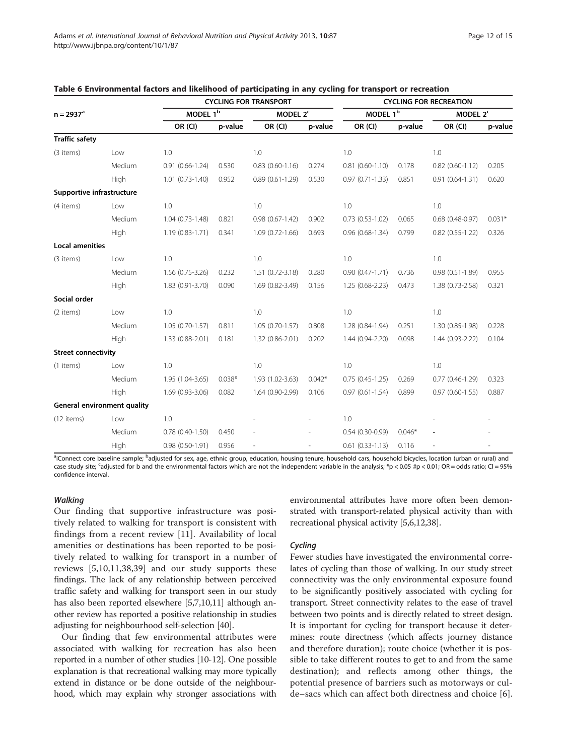|                            |                             |                     |                      | <b>CYCLING FOR TRANSPORT</b> | <b>CYCLING FOR RECREATION</b> |                      |                      |                        |                      |  |
|----------------------------|-----------------------------|---------------------|----------------------|------------------------------|-------------------------------|----------------------|----------------------|------------------------|----------------------|--|
| $n = 2937^a$               |                             |                     | MODEL 1 <sup>b</sup> |                              | MODEL 2 <sup>c</sup>          |                      | MODEL 1 <sup>b</sup> |                        | MODEL 2 <sup>c</sup> |  |
|                            |                             | OR (CI)             | p-value              | OR (CI)                      | p-value                       | OR (CI)              | p-value              | OR (CI)                | p-value              |  |
| <b>Traffic safety</b>      |                             |                     |                      |                              |                               |                      |                      |                        |                      |  |
| (3 items)                  | Low                         | 1.0                 |                      | 1.0                          |                               | 1.0                  |                      | 1.0                    |                      |  |
|                            | Medium                      | $0.91(0.66 - 1.24)$ | 0.530                | $0.83$ $(0.60 - 1.16)$       | 0.274                         | $0.81$ (0.60-1.10)   | 0.178                | $0.82$ (0.60-1.12)     | 0.205                |  |
|                            | High                        | $1.01(0.73-1.40)$   | 0.952                | $0.89(0.61 - 1.29)$          | 0.530                         | $0.97(0.71 - 1.33)$  | 0.851                | $0.91$ $(0.64 - 1.31)$ | 0.620                |  |
| Supportive infrastructure  |                             |                     |                      |                              |                               |                      |                      |                        |                      |  |
| (4 items)                  | Low                         | 1.0                 |                      | 1.0                          |                               | 1.0                  |                      | 1.0                    |                      |  |
|                            | Medium                      | $1.04(0.73-1.48)$   | 0.821                | $0.98(0.67 - 1.42)$          | 0.902                         | $0.73$ $(0.53-1.02)$ | 0.065                | $0.68$ (0.48-0.97)     | $0.031*$             |  |
|                            | High                        | $1.19(0.83 - 1.71)$ | 0.341                | $1.09(0.72 - 1.66)$          | 0.693                         | $0.96(0.68-1.34)$    | 0.799                | $0.82$ $(0.55 - 1.22)$ | 0.326                |  |
| <b>Local amenities</b>     |                             |                     |                      |                              |                               |                      |                      |                        |                      |  |
| (3 items)                  | Low                         | 1.0                 |                      | 1.0                          |                               | 1.0                  |                      | 1.0                    |                      |  |
|                            | Medium                      | 1.56 (0.75-3.26)    | 0.232                | $1.51(0.72-3.18)$            | 0.280                         | $0.90(0.47-1.71)$    | 0.736                | $0.98(0.51-1.89)$      | 0.955                |  |
|                            | High                        | 1.83 (0.91-3.70)    | 0.090                | 1.69 (0.82-3.49)             | 0.156                         | $1.25(0.68-2.23)$    | 0.473                | 1.38 (0.73-2.58)       | 0.321                |  |
| Social order               |                             |                     |                      |                              |                               |                      |                      |                        |                      |  |
| (2 items)                  | Low                         | 1.0                 |                      | 1.0                          |                               | 1.0                  |                      | 1.0                    |                      |  |
|                            | Medium                      | $1.05(0.70-1.57)$   | 0.811                | $1.05(0.70-1.57)$            | 0.808                         | 1.28 (0.84-1.94)     | 0.251                | 1.30 (0.85-1.98)       | 0.228                |  |
|                            | High                        | 1.33 (0.88-2.01)    | 0.181                | 1.32 (0.86-2.01)             | 0.202                         | 1.44 (0.94-2.20)     | 0.098                | 1.44 (0.93-2.22)       | 0.104                |  |
| <b>Street connectivity</b> |                             |                     |                      |                              |                               |                      |                      |                        |                      |  |
| (1 items)                  | Low                         | 1.0                 |                      | 1.0                          |                               | 1.0                  |                      | 1.0                    |                      |  |
|                            | Medium                      | 1.95 (1.04-3.65)    | $0.038*$             | 1.93 (1.02-3.63)             | $0.042*$                      | $0.75(0.45-1.25)$    | 0.269                | $0.77(0.46-1.29)$      | 0.323                |  |
|                            | High                        | 1.69 (0.93-3.06)    | 0.082                | 1.64 (0.90-2.99)             | 0.106                         | $0.97(0.61 - 1.54)$  | 0.899                | $0.97(0.60-1.55)$      | 0.887                |  |
|                            | General environment quality |                     |                      |                              |                               |                      |                      |                        |                      |  |
| (12 items)                 | Low                         | 1.0                 |                      |                              |                               | 1.0                  |                      |                        |                      |  |
|                            | Medium                      | $0.78(0.40-1.50)$   | 0.450                |                              |                               | $0.54(0.30-0.99)$    | $0.046*$             |                        |                      |  |
|                            | High                        | $0.98(0.50-1.91)$   | 0.956                |                              |                               | $0.61(0.33-1.13)$    | 0.116                |                        |                      |  |

#### <span id="page-12-0"></span>Table 6 Environmental factors and likelihood of participating in any cycling for transport or recreation

<sup>a</sup>iConnect core baseline sample; <sup>b</sup>adjusted for sex, age, ethnic group, education, housing tenure, household cars, household bicycles, location (urban or rural) and case study site; <sup>c</sup>adjusted for b and the environmental factors which are not the independent variable in the analysis; \*p < 0.05 #p < 0.01; OR = odds ratio; CI = 95% confidence interval.

#### Walking

Our finding that supportive infrastructure was positively related to walking for transport is consistent with findings from a recent review [[11\]](#page-14-0). Availability of local amenities or destinations has been reported to be positively related to walking for transport in a number of reviews [\[5](#page-14-0),[10,11,](#page-14-0)[38,39](#page-15-0)] and our study supports these findings. The lack of any relationship between perceived traffic safety and walking for transport seen in our study has also been reported elsewhere [\[5,7,10,11](#page-14-0)] although another review has reported a positive relationship in studies adjusting for neighbourhood self-selection [\[40\]](#page-15-0).

Our finding that few environmental attributes were associated with walking for recreation has also been reported in a number of other studies [[10](#page-14-0)-[12](#page-14-0)]. One possible explanation is that recreational walking may more typically extend in distance or be done outside of the neighbourhood, which may explain why stronger associations with

environmental attributes have more often been demonstrated with transport-related physical activity than with recreational physical activity [\[5,6,12,](#page-14-0)[38](#page-15-0)].

#### Cycling

Fewer studies have investigated the environmental correlates of cycling than those of walking. In our study street connectivity was the only environmental exposure found to be significantly positively associated with cycling for transport. Street connectivity relates to the ease of travel between two points and is directly related to street design. It is important for cycling for transport because it determines: route directness (which affects journey distance and therefore duration); route choice (whether it is possible to take different routes to get to and from the same destination); and reflects among other things, the potential presence of barriers such as motorways or culde–sacs which can affect both directness and choice [\[6](#page-14-0)].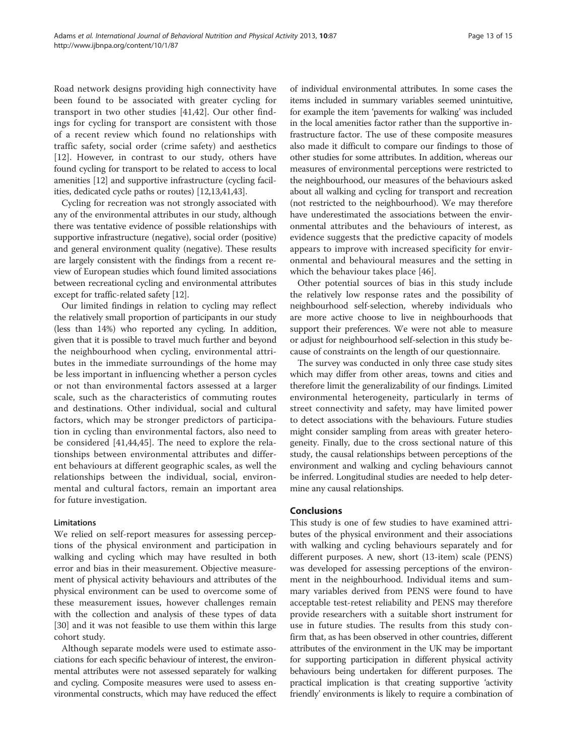Road network designs providing high connectivity have been found to be associated with greater cycling for transport in two other studies [\[41,42](#page-15-0)]. Our other findings for cycling for transport are consistent with those of a recent review which found no relationships with traffic safety, social order (crime safety) and aesthetics [[12\]](#page-14-0). However, in contrast to our study, others have found cycling for transport to be related to access to local amenities [[12](#page-14-0)] and supportive infrastructure (cycling facilities, dedicated cycle paths or routes) [[12,13](#page-14-0)[,41,43\]](#page-15-0).

Cycling for recreation was not strongly associated with any of the environmental attributes in our study, although there was tentative evidence of possible relationships with supportive infrastructure (negative), social order (positive) and general environment quality (negative). These results are largely consistent with the findings from a recent review of European studies which found limited associations between recreational cycling and environmental attributes except for traffic-related safety [[12](#page-14-0)].

Our limited findings in relation to cycling may reflect the relatively small proportion of participants in our study (less than 14%) who reported any cycling. In addition, given that it is possible to travel much further and beyond the neighbourhood when cycling, environmental attributes in the immediate surroundings of the home may be less important in influencing whether a person cycles or not than environmental factors assessed at a larger scale, such as the characteristics of commuting routes and destinations. Other individual, social and cultural factors, which may be stronger predictors of participation in cycling than environmental factors, also need to be considered [[41,44,45](#page-15-0)]. The need to explore the relationships between environmental attributes and different behaviours at different geographic scales, as well the relationships between the individual, social, environmental and cultural factors, remain an important area for future investigation.

# Limitations

We relied on self-report measures for assessing perceptions of the physical environment and participation in walking and cycling which may have resulted in both error and bias in their measurement. Objective measurement of physical activity behaviours and attributes of the physical environment can be used to overcome some of these measurement issues, however challenges remain with the collection and analysis of these types of data [[30\]](#page-15-0) and it was not feasible to use them within this large cohort study.

Although separate models were used to estimate associations for each specific behaviour of interest, the environmental attributes were not assessed separately for walking and cycling. Composite measures were used to assess environmental constructs, which may have reduced the effect

of individual environmental attributes. In some cases the items included in summary variables seemed unintuitive, for example the item 'pavements for walking' was included in the local amenities factor rather than the supportive infrastructure factor. The use of these composite measures also made it difficult to compare our findings to those of other studies for some attributes. In addition, whereas our measures of environmental perceptions were restricted to the neighbourhood, our measures of the behaviours asked about all walking and cycling for transport and recreation (not restricted to the neighbourhood). We may therefore have underestimated the associations between the environmental attributes and the behaviours of interest, as evidence suggests that the predictive capacity of models appears to improve with increased specificity for environmental and behavioural measures and the setting in which the behaviour takes place [[46\]](#page-15-0).

Other potential sources of bias in this study include the relatively low response rates and the possibility of neighbourhood self-selection, whereby individuals who are more active choose to live in neighbourhoods that support their preferences. We were not able to measure or adjust for neighbourhood self-selection in this study because of constraints on the length of our questionnaire.

The survey was conducted in only three case study sites which may differ from other areas, towns and cities and therefore limit the generalizability of our findings. Limited environmental heterogeneity, particularly in terms of street connectivity and safety, may have limited power to detect associations with the behaviours. Future studies might consider sampling from areas with greater heterogeneity. Finally, due to the cross sectional nature of this study, the causal relationships between perceptions of the environment and walking and cycling behaviours cannot be inferred. Longitudinal studies are needed to help determine any causal relationships.

#### Conclusions

This study is one of few studies to have examined attributes of the physical environment and their associations with walking and cycling behaviours separately and for different purposes. A new, short (13-item) scale (PENS) was developed for assessing perceptions of the environment in the neighbourhood. Individual items and summary variables derived from PENS were found to have acceptable test-retest reliability and PENS may therefore provide researchers with a suitable short instrument for use in future studies. The results from this study confirm that, as has been observed in other countries, different attributes of the environment in the UK may be important for supporting participation in different physical activity behaviours being undertaken for different purposes. The practical implication is that creating supportive 'activity friendly' environments is likely to require a combination of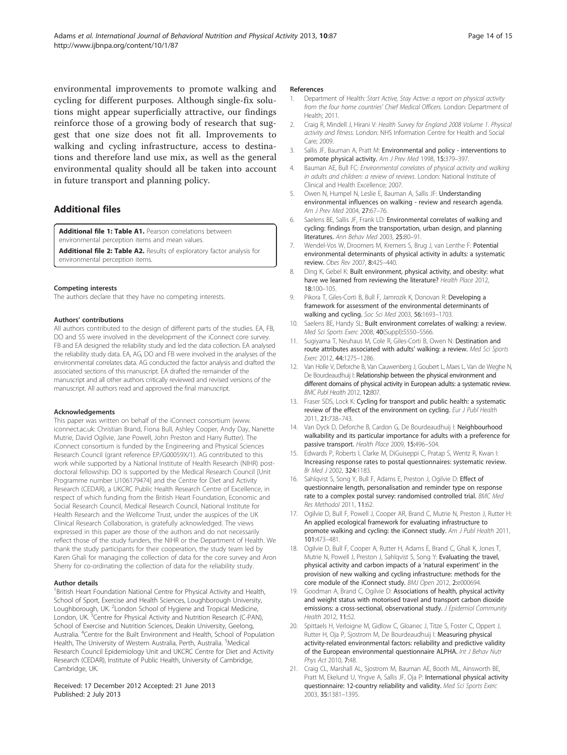<span id="page-14-0"></span>environmental improvements to promote walking and cycling for different purposes. Although single-fix solutions might appear superficially attractive, our findings reinforce those of a growing body of research that suggest that one size does not fit all. Improvements to walking and cycling infrastructure, access to destinations and therefore land use mix, as well as the general environmental quality should all be taken into account in future transport and planning policy.

# Additional files

[Additional file 1: Table A1.](http://www.biomedcentral.com/content/supplementary/1479-5868-10-87-S1.pdf) Pearson correlations between

environmental perception items and mean values.

[Additional file 2: Table A2.](http://www.biomedcentral.com/content/supplementary/1479-5868-10-87-S2.pdf) Results of exploratory factor analysis for environmental perception items.

#### Competing interests

The authors declare that they have no competing interests.

#### Authors' contributions

All authors contributed to the design of different parts of the studies. EA, FB, DO and SS were involved in the development of the iConnect core survey. FB and EA designed the reliability study and led the data collection. EA analysed the reliability study data. EA, AG, DO and FB were involved in the analyses of the environmental correlates data. AG conducted the factor analysis and drafted the associated sections of this manuscript. EA drafted the remainder of the manuscript and all other authors critically reviewed and revised versions of the manuscript. All authors read and approved the final manuscript.

#### Acknowledgements

This paper was written on behalf of the iConnect consortium [\(www.](www.iconnect.ac.uk) [iconnect.ac.uk:](www.iconnect.ac.uk) Christian Brand, Fiona Bull, Ashley Cooper, Andy Day, Nanette Mutrie, David Ogilvie, Jane Powell, John Preston and Harry Rutter). The iConnect consortium is funded by the Engineering and Physical Sciences Research Council (grant reference EP/G00059X/1). AG contributed to this work while supported by a National Institute of Health Research (NIHR) postdoctoral fellowship. DO is supported by the Medical Research Council [Unit Programme number U106179474] and the Centre for Diet and Activity Research (CEDAR), a UKCRC Public Health Research Centre of Excellence, in respect of which funding from the British Heart Foundation, Economic and Social Research Council, Medical Research Council, National Institute for Health Research and the Wellcome Trust, under the auspices of the UK Clinical Research Collaboration, is gratefully acknowledged. The views expressed in this paper are those of the authors and do not necessarily reflect those of the study funders, the NIHR or the Department of Health. We thank the study participants for their cooperation, the study team led by Karen Ghali for managing the collection of data for the core survey and Aron Sherry for co-ordinating the collection of data for the reliability study.

#### Author details

<sup>1</sup> British Heart Foundation National Centre for Physical Activity and Health, School of Sport, Exercise and Health Sciences, Loughborough University, Loughborough, UK. <sup>2</sup>London School of Hygiene and Tropical Medicine, London, UK.<sup>3</sup> Centre for Physical Activity and Nutrition Research (C-PAN), School of Exercise and Nutrition Sciences, Deakin University, Geelong, Australia. <sup>4</sup>Centre for the Built Environment and Health, School of Population Health, The University of Western Australia, Perth, Australia. <sup>5</sup>Medical Research Council Epidemiology Unit and UKCRC Centre for Diet and Activity Research (CEDAR), Institute of Public Health, University of Cambridge, Cambridge, UK.

#### Received: 17 December 2012 Accepted: 21 June 2013 Published: 2 July 2013

#### References

- 1. Department of Health: Start Active, Stay Active: a report on physical activity from the four home countries' Chief Medical Officers. London: Department of Health; 2011.
- 2. Craig R, Mindell J, Hirani V: Health Survey for England 2008 Volume 1. Physical activity and fitness. London: NHS Information Centre for Health and Social Care; 2009.
- 3. Sallis JF, Bauman A, Pratt M: Environmental and policy interventions to promote physical activity. Am J Prev Med 1998, 15:379–397.
- 4. Bauman AE, Bull FC: Environmental correlates of physical activity and walking in adults and children: a review of reviews. London: National Institute of Clinical and Health Excellence; 2007.
- 5. Owen N, Humpel N, Leslie E, Bauman A, Sallis JF: Understanding environmental influences on walking - review and research agenda. Am J Prev Med 2004, 27:67–76.
- 6. Saelens BE, Sallis JF, Frank LD: Environmental correlates of walking and cycling: findings from the transportation, urban design, and planning literatures. Ann Behav Med 2003, 25:80–91.
- 7. Wendel-Vos W, Droomers M, Kremers S, Brug J, van Lenthe F: Potential environmental determinants of physical activity in adults: a systematic review. Obes Rev 2007, 8:425–440.
- 8. Ding K, Gebel K: Built environment, physical activity, and obesity: what have we learned from reviewing the literature? Health Place 2012, 18:100–105.
- 9. Pikora T, Giles-Corti B, Bull F, Jamrozik K, Donovan R: Developing a framework for assessment of the environmental determinants of walking and cycling. Soc Sci Med 2003, 56:1693–1703.
- 10. Saelens BE, Handy SL: Built environment correlates of walking: a review. Med Sci Sports Exerc 2008, 40(Suppl):S550–S566.
- 11. Sugiyama T, Neuhaus M, Cole R, Giles-Corti B, Owen N: Destination and route attributes associated with adults' walking: a review. Med Sci Sports Exerc 2012, 44:1275–1286.
- 12. Van Holle V, Deforche B, Van Cauwenberg J, Goubert L, Maes L, Van de Weghe N, De Bourdeaudhuij I: Relationship between the physical environment and different domains of physical activity in European adults: a systematic review. BMC Publ Health 2012, 12:807.
- 13. Fraser SDS, Lock K: Cycling for transport and public health: a systematic review of the effect of the environment on cycling. Eur J Publ Health 2011, 21:738–743.
- 14. Van Dyck D, Deforche B, Cardon G, De Bourdeaudhuij I: Neighbourhood walkability and its particular importance for adults with a preference for passive transport. Health Place 2009, 15:496–504.
- 15. Edwards P, Roberts I, Clarke M, DiGuiseppi C, Pratap S, Wentz R, Kwan I: Increasing response rates to postal questionnaires: systematic review. Br Med J 2002, 324:1183.
- 16. Sahlqvist S, Song Y, Bull F, Adams E, Preston J, Ogilvie D: Effect of questionnaire length, personalisation and reminder type on response rate to a complex postal survey: randomised controlled trial. BMC Med Res Methodol 2011, 11:62.
- 17. Ogilvie D, Bull F, Powell J, Cooper AR, Brand C, Mutrie N, Preston J, Rutter H: An applied ecological framework for evaluating infrastructure to promote walking and cycling: the iConnect study. Am J Publ Health 2011, 101:473–481.
- 18. Ogilvie D, Bull F, Cooper A, Rutter H, Adams E, Brand C, Ghali K, Jones T, Mutrie N, Powell J, Preston J, Sahlqvist S, Song Y: Evaluating the travel, physical activity and carbon impacts of a 'natural experiment' in the provision of new walking and cycling infrastructure: methods for the core module of the iConnect study. BMJ Open 2012, 2:e000694.
- 19. Goodman A, Brand C, Ogilvie D: Associations of health, physical activity and weight status with motorised travel and transport carbon dioxide emissions: a cross-sectional, observational study. J Epidemiol Community Health 2012, 11:52.
- 20. Spittaels H, Verloigne M, Gidlow C, Gloanec J, Titze S, Foster C, Oppert J, Rutter H, Oja P, Sjostrom M, De Bourdeaudhuij I: Measuring physical activity-related environmental factors: reliability and predictive validity of the European environmental questionnaire ALPHA. Int J Behav Nutr Phys Act 2010, 7:48.
- 21. Craig CL, Marshall AL, Sjostrom M, Bauman AE, Booth ML, Ainsworth BE, Pratt M, Ekelund U, Yngve A, Sallis JF, Oja P: International physical activity questionnaire: 12-country reliability and validity. Med Sci Sports Exerc 2003, 35:1381–1395.